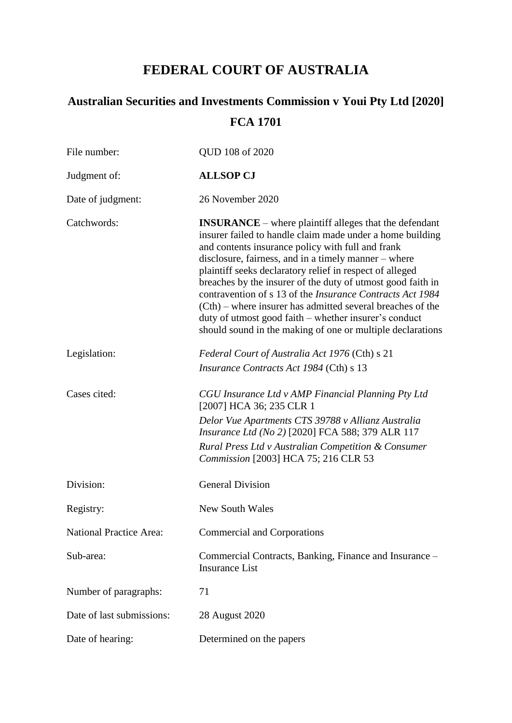# **FEDERAL COURT OF AUSTRALIA**

| File number:              | QUD 108 of 2020                                                                                                                                                                                                                                                                                                                                                                                                                                                                                                                                                                                                       |
|---------------------------|-----------------------------------------------------------------------------------------------------------------------------------------------------------------------------------------------------------------------------------------------------------------------------------------------------------------------------------------------------------------------------------------------------------------------------------------------------------------------------------------------------------------------------------------------------------------------------------------------------------------------|
| Judgment of:              | <b>ALLSOP CJ</b>                                                                                                                                                                                                                                                                                                                                                                                                                                                                                                                                                                                                      |
| Date of judgment:         | 26 November 2020                                                                                                                                                                                                                                                                                                                                                                                                                                                                                                                                                                                                      |
| Catchwords:               | <b>INSURANCE</b> – where plaintiff alleges that the defendant<br>insurer failed to handle claim made under a home building<br>and contents insurance policy with full and frank<br>disclosure, fairness, and in a timely manner – where<br>plaintiff seeks declaratory relief in respect of alleged<br>breaches by the insurer of the duty of utmost good faith in<br>contravention of s 13 of the Insurance Contracts Act 1984<br>$(Ch)$ – where insurer has admitted several breaches of the<br>duty of utmost good faith – whether insurer's conduct<br>should sound in the making of one or multiple declarations |
| Legislation:              | Federal Court of Australia Act 1976 (Cth) s 21                                                                                                                                                                                                                                                                                                                                                                                                                                                                                                                                                                        |
|                           | Insurance Contracts Act 1984 (Cth) s 13                                                                                                                                                                                                                                                                                                                                                                                                                                                                                                                                                                               |
| Cases cited:              | CGU Insurance Ltd v AMP Financial Planning Pty Ltd<br>[2007] HCA 36; 235 CLR 1                                                                                                                                                                                                                                                                                                                                                                                                                                                                                                                                        |
|                           | Delor Vue Apartments CTS 39788 v Allianz Australia<br>Insurance Ltd (No 2) [2020] FCA 588; 379 ALR 117                                                                                                                                                                                                                                                                                                                                                                                                                                                                                                                |
|                           | Rural Press Ltd v Australian Competition & Consumer<br>Commission [2003] HCA 75; 216 CLR 53                                                                                                                                                                                                                                                                                                                                                                                                                                                                                                                           |
| Division:                 | <b>General Division</b>                                                                                                                                                                                                                                                                                                                                                                                                                                                                                                                                                                                               |
| Registry:                 | <b>New South Wales</b>                                                                                                                                                                                                                                                                                                                                                                                                                                                                                                                                                                                                |
| National Practice Area:   | <b>Commercial and Corporations</b>                                                                                                                                                                                                                                                                                                                                                                                                                                                                                                                                                                                    |
| Sub-area:                 | Commercial Contracts, Banking, Finance and Insurance –<br><b>Insurance List</b>                                                                                                                                                                                                                                                                                                                                                                                                                                                                                                                                       |
| Number of paragraphs:     | 71                                                                                                                                                                                                                                                                                                                                                                                                                                                                                                                                                                                                                    |
| Date of last submissions: | 28 August 2020                                                                                                                                                                                                                                                                                                                                                                                                                                                                                                                                                                                                        |
| Date of hearing:          | Determined on the papers                                                                                                                                                                                                                                                                                                                                                                                                                                                                                                                                                                                              |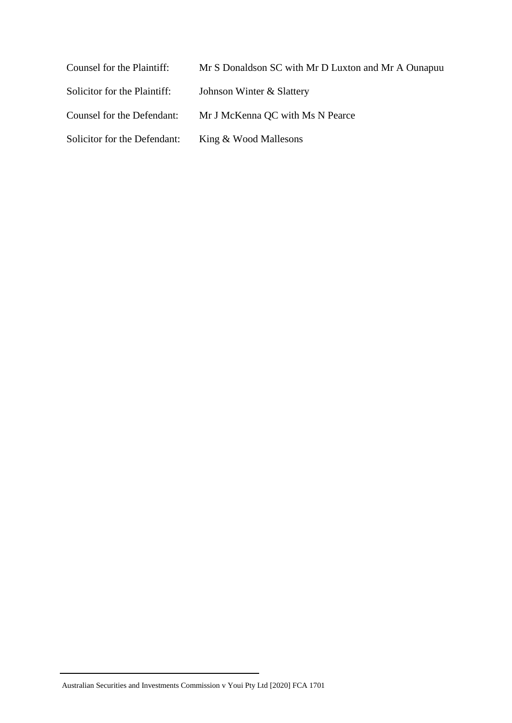Counsel for the Plaintiff: Mr S Donaldson SC with Mr D Luxton and Mr A Ounapuu

Solicitor for the Plaintiff: Johnson Winter & Slattery

Counsel for the Defendant: Mr J McKenna QC with Ms N Pearce

Solicitor for the Defendant: King & Wood Mallesons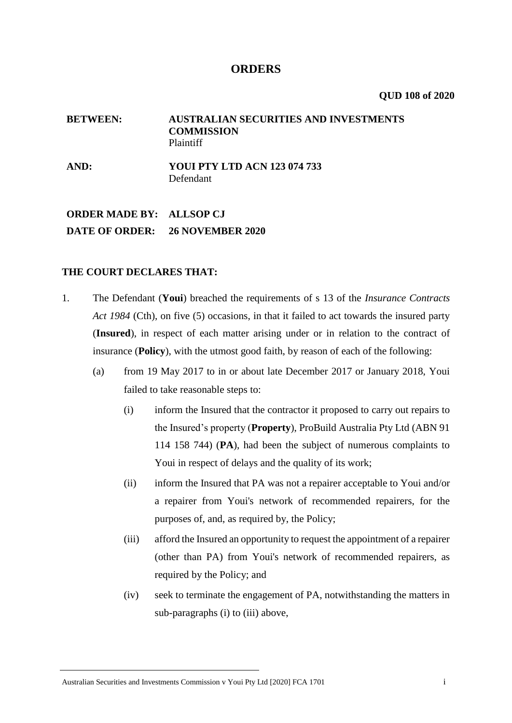# **ORDERS**

#### **QUD 108 of 2020**

# **BETWEEN: AUSTRALIAN SECURITIES AND INVESTMENTS COMMISSION** Plaintiff

**AND: YOUI PTY LTD ACN 123 074 733** Defendant

# **ORDER MADE BY: ALLSOP CJ DATE OF ORDER: 26 NOVEMBER 2020**

# **THE COURT DECLARES THAT:**

- 1. The Defendant (**Youi**) breached the requirements of s 13 of the *Insurance Contracts Act 1984* (Cth), on five (5) occasions, in that it failed to act towards the insured party (**Insured**), in respect of each matter arising under or in relation to the contract of insurance (**Policy**), with the utmost good faith, by reason of each of the following:
	- (a) from 19 May 2017 to in or about late December 2017 or January 2018, Youi failed to take reasonable steps to:
		- (i) inform the Insured that the contractor it proposed to carry out repairs to the Insured's property (**Property**), ProBuild Australia Pty Ltd (ABN 91 114 158 744) (**PA**), had been the subject of numerous complaints to Youi in respect of delays and the quality of its work;
		- (ii) inform the Insured that PA was not a repairer acceptable to Youi and/or a repairer from Youi's network of recommended repairers, for the purposes of, and, as required by, the Policy;
		- (iii) afford the Insured an opportunity to request the appointment of a repairer (other than PA) from Youi's network of recommended repairers, as required by the Policy; and
		- (iv) seek to terminate the engagement of PA, notwithstanding the matters in sub-paragraphs (i) to (iii) above,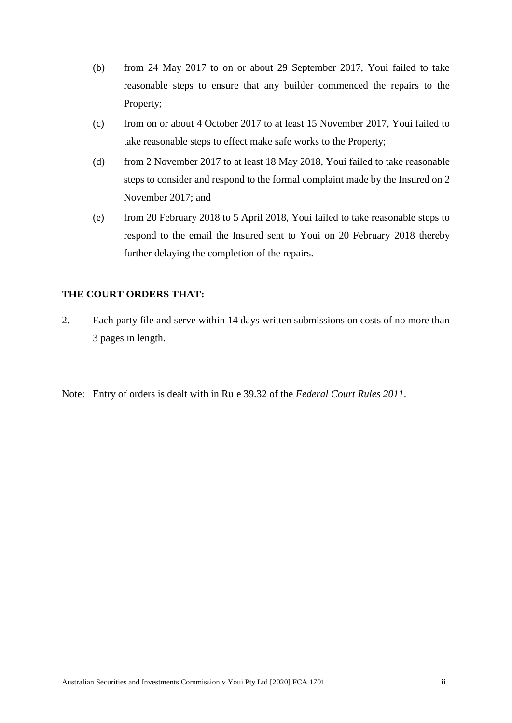- (b) from 24 May 2017 to on or about 29 September 2017, Youi failed to take reasonable steps to ensure that any builder commenced the repairs to the Property;
- (c) from on or about 4 October 2017 to at least 15 November 2017, Youi failed to take reasonable steps to effect make safe works to the Property;
- (d) from 2 November 2017 to at least 18 May 2018, Youi failed to take reasonable steps to consider and respond to the formal complaint made by the Insured on 2 November 2017; and
- (e) from 20 February 2018 to 5 April 2018, Youi failed to take reasonable steps to respond to the email the Insured sent to Youi on 20 February 2018 thereby further delaying the completion of the repairs.

# **THE COURT ORDERS THAT:**

- 2. Each party file and serve within 14 days written submissions on costs of no more than 3 pages in length.
- Note: Entry of orders is dealt with in Rule 39.32 of the *Federal Court Rules 2011*.

Australian Securities and Investments Commission v Youi Pty Ltd [2020] FCA 1701 ii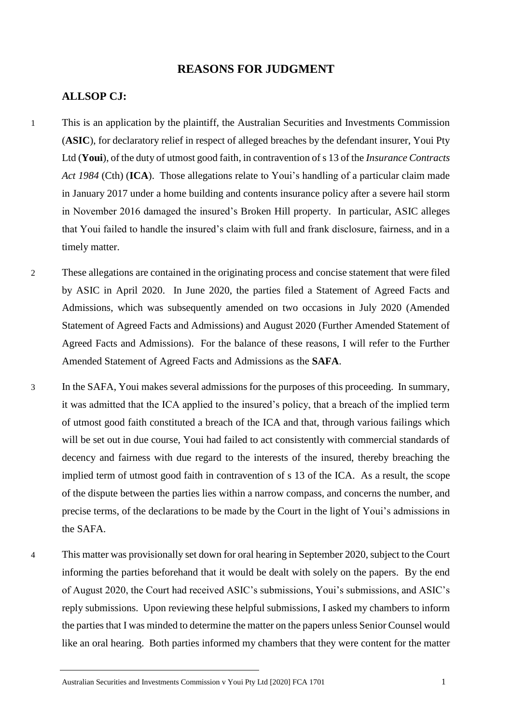# **REASONS FOR JUDGMENT**

#### **ALLSOP CJ:**

- 1 This is an application by the plaintiff, the Australian Securities and Investments Commission (**ASIC**), for declaratory relief in respect of alleged breaches by the defendant insurer, Youi Pty Ltd (**Youi**), of the duty of utmost good faith, in contravention of s 13 of the *Insurance Contracts Act 1984* (Cth) (**ICA**). Those allegations relate to Youi's handling of a particular claim made in January 2017 under a home building and contents insurance policy after a severe hail storm in November 2016 damaged the insured's Broken Hill property. In particular, ASIC alleges that Youi failed to handle the insured's claim with full and frank disclosure, fairness, and in a timely matter.
- 2 These allegations are contained in the originating process and concise statement that were filed by ASIC in April 2020. In June 2020, the parties filed a Statement of Agreed Facts and Admissions, which was subsequently amended on two occasions in July 2020 (Amended Statement of Agreed Facts and Admissions) and August 2020 (Further Amended Statement of Agreed Facts and Admissions). For the balance of these reasons, I will refer to the Further Amended Statement of Agreed Facts and Admissions as the **SAFA**.
- 3 In the SAFA, Youi makes several admissions for the purposes of this proceeding. In summary, it was admitted that the ICA applied to the insured's policy, that a breach of the implied term of utmost good faith constituted a breach of the ICA and that, through various failings which will be set out in due course, Youi had failed to act consistently with commercial standards of decency and fairness with due regard to the interests of the insured, thereby breaching the implied term of utmost good faith in contravention of s 13 of the ICA. As a result, the scope of the dispute between the parties lies within a narrow compass, and concerns the number, and precise terms, of the declarations to be made by the Court in the light of Youi's admissions in the SAFA.
- 4 This matter was provisionally set down for oral hearing in September 2020, subject to the Court informing the parties beforehand that it would be dealt with solely on the papers. By the end of August 2020, the Court had received ASIC's submissions, Youi's submissions, and ASIC's reply submissions. Upon reviewing these helpful submissions, I asked my chambers to inform the parties that I was minded to determine the matter on the papers unless Senior Counsel would like an oral hearing. Both parties informed my chambers that they were content for the matter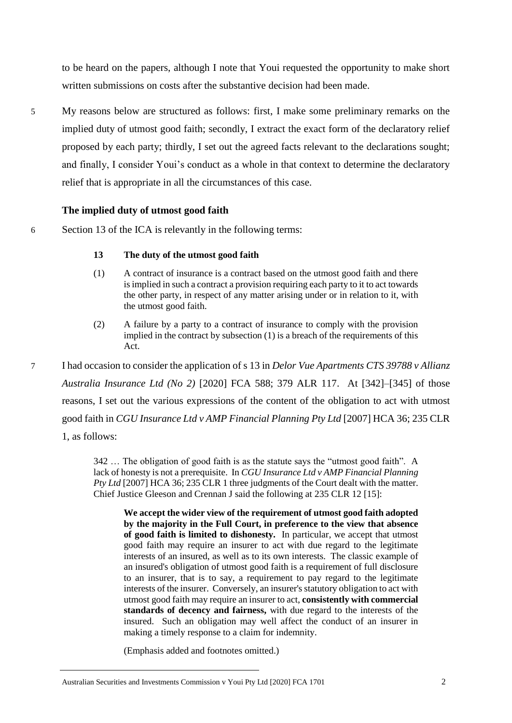to be heard on the papers, although I note that Youi requested the opportunity to make short written submissions on costs after the substantive decision had been made.

5 My reasons below are structured as follows: first, I make some preliminary remarks on the implied duty of utmost good faith; secondly, I extract the exact form of the declaratory relief proposed by each party; thirdly, I set out the agreed facts relevant to the declarations sought; and finally, I consider Youi's conduct as a whole in that context to determine the declaratory relief that is appropriate in all the circumstances of this case.

# **The implied duty of utmost good faith**

6 Section 13 of the ICA is relevantly in the following terms:

#### **13 The duty of the utmost good faith**

- (1) A contract of insurance is a contract based on the utmost good faith and there is implied in such a contract a provision requiring each party to it to act towards the other party, in respect of any matter arising under or in relation to it, with the utmost good faith.
- (2) A failure by a party to a contract of insurance to comply with the provision implied in the contract by subsection (1) is a breach of the requirements of this Act.
- 7 I had occasion to consider the application of s 13 in *Delor Vue Apartments CTS 39788 v Allianz Australia Insurance Ltd (No 2)* [2020] FCA 588; 379 ALR 117. At [342]–[345] of those reasons, I set out the various expressions of the content of the obligation to act with utmost good faith in *CGU Insurance Ltd v AMP Financial Planning Pty Ltd* [2007] HCA 36; 235 CLR 1, as follows:

342 … The obligation of good faith is as the statute says the "utmost good faith". A lack of honesty is not a prerequisite. In *CGU Insurance Ltd v AMP Financial Planning Pty Ltd* [2007] HCA 36; 235 CLR 1 three judgments of the Court dealt with the matter. Chief Justice Gleeson and Crennan J said the following at 235 CLR 12 [15]:

**We accept the wider view of the requirement of utmost good faith adopted by the majority in the Full Court, in preference to the view that absence of good faith is limited to dishonesty.** In particular, we accept that utmost good faith may require an insurer to act with due regard to the legitimate interests of an insured, as well as to its own interests. The classic example of an insured's obligation of utmost good faith is a requirement of full disclosure to an insurer, that is to say, a requirement to pay regard to the legitimate interests of the insurer. Conversely, an insurer's statutory obligation to act with utmost good faith may require an insurer to act, **consistently with commercial standards of decency and fairness,** with due regard to the interests of the insured. Such an obligation may well affect the conduct of an insurer in making a timely response to a claim for indemnity.

(Emphasis added and footnotes omitted.)

Australian Securities and Investments Commission v Youi Pty Ltd [2020] FCA 1701 2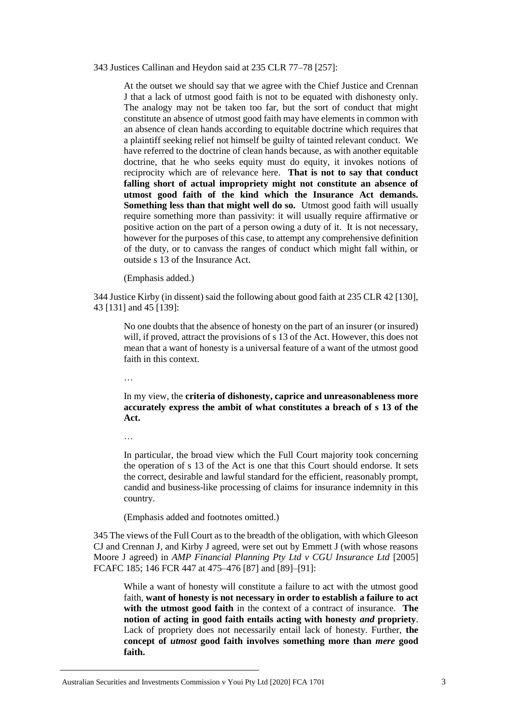343 Justices Callinan and Heydon said at 235 CLR 77–78 [257]:

At the outset we should say that we agree with the Chief Justice and Crennan J that a lack of utmost good faith is not to be equated with dishonesty only. The analogy may not be taken too far, but the sort of conduct that might constitute an absence of utmost good faith may have elements in common with an absence of clean hands according to equitable doctrine which requires that a plaintiff seeking relief not himself be guilty of tainted relevant conduct. We have referred to the doctrine of clean hands because, as with another equitable doctrine, that he who seeks equity must do equity, it invokes notions of reciprocity which are of relevance here. **That is not to say that conduct falling short of actual impropriety might not constitute an absence of utmost good faith of the kind which the Insurance Act demands. Something less than that might well do so.** Utmost good faith will usually require something more than passivity: it will usually require affirmative or positive action on the part of a person owing a duty of it. It is not necessary, however for the purposes of this case, to attempt any comprehensive definition of the duty, or to canvass the ranges of conduct which might fall within, or outside s 13 of the Insurance Act.

(Emphasis added.)

344 Justice Kirby (in dissent) said the following about good faith at 235 CLR 42 [130], 43 [131] and 45 [139]:

No one doubts that the absence of honesty on the part of an insurer (or insured) will, if proved, attract the provisions of s 13 of the Act. However, this does not mean that a want of honesty is a universal feature of a want of the utmost good faith in this context.

…

In my view, the **criteria of dishonesty, caprice and unreasonableness more accurately express the ambit of what constitutes a breach of s 13 of the Act.**

…

In particular, the broad view which the Full Court majority took concerning the operation of s 13 of the Act is one that this Court should endorse. It sets the correct, desirable and lawful standard for the efficient, reasonably prompt, candid and business-like processing of claims for insurance indemnity in this country.

(Emphasis added and footnotes omitted.)

345 The views of the Full Court as to the breadth of the obligation, with which Gleeson CJ and Crennan J, and Kirby J agreed, were set out by Emmett J (with whose reasons Moore J agreed) in *AMP Financial Planning Pty Ltd v CGU Insurance Ltd* [2005] FCAFC 185; 146 FCR 447 at 475–476 [87] and [89]–[91]:

While a want of honesty will constitute a failure to act with the utmost good faith, **want of honesty is not necessary in order to establish a failure to act**  with the utmost good faith in the context of a contract of insurance. The **notion of acting in good faith entails acting with honesty** *and* **propriety**. Lack of propriety does not necessarily entail lack of honesty. Further, **the concept of** *utmost* **good faith involves something more than** *mere* **good faith.**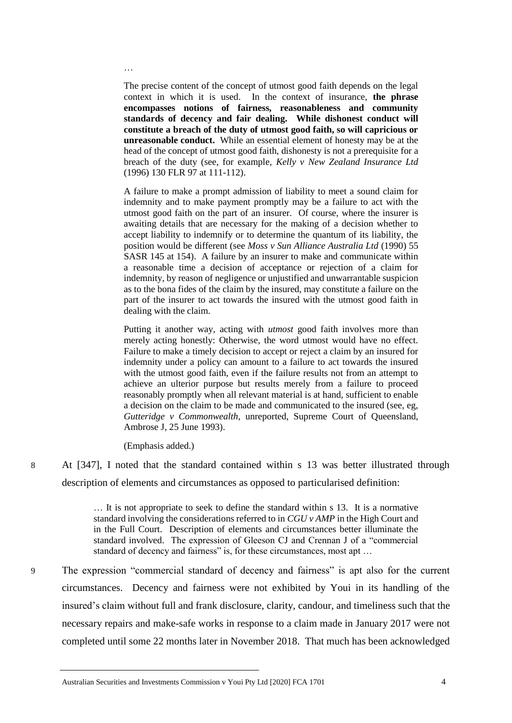The precise content of the concept of utmost good faith depends on the legal context in which it is used. In the context of insurance, **the phrase encompasses notions of fairness, reasonableness and community standards of decency and fair dealing. While dishonest conduct will constitute a breach of the duty of utmost good faith, so will capricious or unreasonable conduct.** While an essential element of honesty may be at the head of the concept of utmost good faith, dishonesty is not a prerequisite for a breach of the duty (see, for example, *Kelly v New Zealand Insurance Ltd* (1996) 130 FLR 97 at 111-112).

A failure to make a prompt admission of liability to meet a sound claim for indemnity and to make payment promptly may be a failure to act with the utmost good faith on the part of an insurer. Of course, where the insurer is awaiting details that are necessary for the making of a decision whether to accept liability to indemnify or to determine the quantum of its liability, the position would be different (see *Moss v Sun Alliance Australia Ltd* (1990) 55 SASR 145 at 154). A failure by an insurer to make and communicate within a reasonable time a decision of acceptance or rejection of a claim for indemnity, by reason of negligence or unjustified and unwarrantable suspicion as to the bona fides of the claim by the insured, may constitute a failure on the part of the insurer to act towards the insured with the utmost good faith in dealing with the claim.

Putting it another way, acting with *utmost* good faith involves more than merely acting honestly: Otherwise, the word utmost would have no effect. Failure to make a timely decision to accept or reject a claim by an insured for indemnity under a policy can amount to a failure to act towards the insured with the utmost good faith, even if the failure results not from an attempt to achieve an ulterior purpose but results merely from a failure to proceed reasonably promptly when all relevant material is at hand, sufficient to enable a decision on the claim to be made and communicated to the insured (see, eg, *Gutteridge v Commonwealth*, unreported, Supreme Court of Queensland, Ambrose J, 25 June 1993).

(Emphasis added.)

8 At [347], I noted that the standard contained within s 13 was better illustrated through description of elements and circumstances as opposed to particularised definition:

> … It is not appropriate to seek to define the standard within s 13. It is a normative standard involving the considerations referred to in *CGU v AMP* in the High Court and in the Full Court. Description of elements and circumstances better illuminate the standard involved. The expression of Gleeson CJ and Crennan J of a "commercial standard of decency and fairness" is, for these circumstances, most apt ...

9 The expression "commercial standard of decency and fairness" is apt also for the current circumstances. Decency and fairness were not exhibited by Youi in its handling of the insured's claim without full and frank disclosure, clarity, candour, and timeliness such that the necessary repairs and make-safe works in response to a claim made in January 2017 were not completed until some 22 months later in November 2018. That much has been acknowledged

<sup>…</sup>

Australian Securities and Investments Commission v Youi Pty Ltd [2020] FCA 1701 4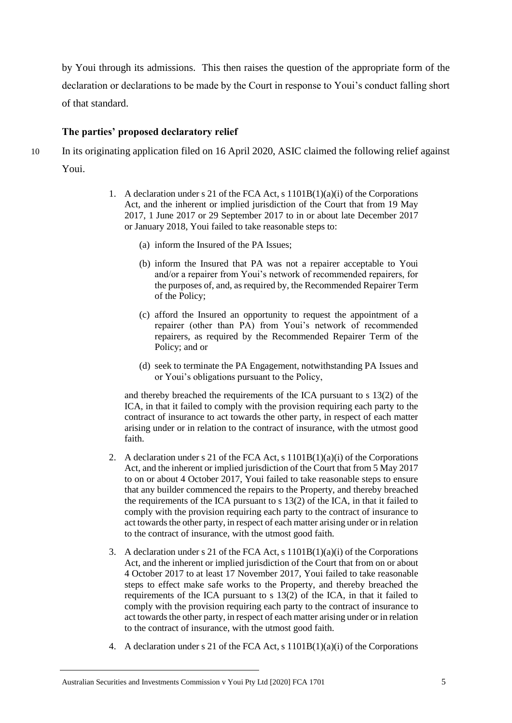by Youi through its admissions. This then raises the question of the appropriate form of the declaration or declarations to be made by the Court in response to Youi's conduct falling short of that standard.

# **The parties' proposed declaratory relief**

10 In its originating application filed on 16 April 2020, ASIC claimed the following relief against Youi.

- 1. A declaration under s 21 of the FCA Act, s 1101B(1)(a)(i) of the Corporations Act, and the inherent or implied jurisdiction of the Court that from 19 May 2017, 1 June 2017 or 29 September 2017 to in or about late December 2017 or January 2018, Youi failed to take reasonable steps to:
	- (a) inform the Insured of the PA Issues;
	- (b) inform the Insured that PA was not a repairer acceptable to Youi and/or a repairer from Youi's network of recommended repairers, for the purposes of, and, as required by, the Recommended Repairer Term of the Policy;
	- (c) afford the Insured an opportunity to request the appointment of a repairer (other than PA) from Youi's network of recommended repairers, as required by the Recommended Repairer Term of the Policy; and or
	- (d) seek to terminate the PA Engagement, notwithstanding PA Issues and or Youi's obligations pursuant to the Policy,

and thereby breached the requirements of the ICA pursuant to s 13(2) of the ICA, in that it failed to comply with the provision requiring each party to the contract of insurance to act towards the other party, in respect of each matter arising under or in relation to the contract of insurance, with the utmost good faith.

- 2. A declaration under s 21 of the FCA Act, s  $1101B(1)(a)(i)$  of the Corporations Act, and the inherent or implied jurisdiction of the Court that from 5 May 2017 to on or about 4 October 2017, Youi failed to take reasonable steps to ensure that any builder commenced the repairs to the Property, and thereby breached the requirements of the ICA pursuant to s 13(2) of the ICA, in that it failed to comply with the provision requiring each party to the contract of insurance to act towards the other party, in respect of each matter arising under or in relation to the contract of insurance, with the utmost good faith.
- 3. A declaration under s 21 of the FCA Act, s  $1101B(1)(a)(i)$  of the Corporations Act, and the inherent or implied jurisdiction of the Court that from on or about 4 October 2017 to at least 17 November 2017, Youi failed to take reasonable steps to effect make safe works to the Property, and thereby breached the requirements of the ICA pursuant to s 13(2) of the ICA, in that it failed to comply with the provision requiring each party to the contract of insurance to act towards the other party, in respect of each matter arising under or in relation to the contract of insurance, with the utmost good faith.
- 4. A declaration under s 21 of the FCA Act, s 1101B(1)(a)(i) of the Corporations

Australian Securities and Investments Commission v Youi Pty Ltd [2020] FCA 1701 5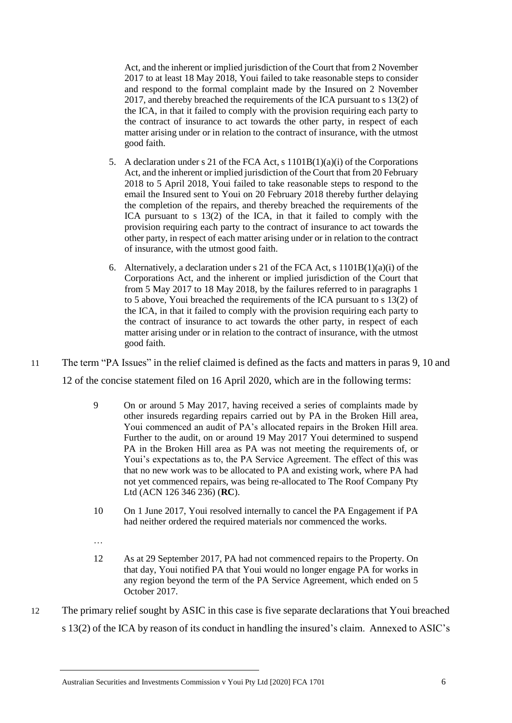Act, and the inherent or implied jurisdiction of the Court that from 2 November 2017 to at least 18 May 2018, Youi failed to take reasonable steps to consider and respond to the formal complaint made by the Insured on 2 November 2017, and thereby breached the requirements of the ICA pursuant to s 13(2) of the ICA, in that it failed to comply with the provision requiring each party to the contract of insurance to act towards the other party, in respect of each matter arising under or in relation to the contract of insurance, with the utmost good faith.

- 5. A declaration under s 21 of the FCA Act, s 1101B(1)(a)(i) of the Corporations Act, and the inherent or implied jurisdiction of the Court that from 20 February 2018 to 5 April 2018, Youi failed to take reasonable steps to respond to the email the Insured sent to Youi on 20 February 2018 thereby further delaying the completion of the repairs, and thereby breached the requirements of the ICA pursuant to s  $13(2)$  of the ICA, in that it failed to comply with the provision requiring each party to the contract of insurance to act towards the other party, in respect of each matter arising under or in relation to the contract of insurance, with the utmost good faith.
- 6. Alternatively, a declaration under s 21 of the FCA Act, s 1101B(1)(a)(i) of the Corporations Act, and the inherent or implied jurisdiction of the Court that from 5 May 2017 to 18 May 2018, by the failures referred to in paragraphs 1 to 5 above, Youi breached the requirements of the ICA pursuant to s 13(2) of the ICA, in that it failed to comply with the provision requiring each party to the contract of insurance to act towards the other party, in respect of each matter arising under or in relation to the contract of insurance, with the utmost good faith.
- <span id="page-9-0"></span>11 The term "PA Issues" in the relief claimed is defined as the facts and matters in paras 9, 10 and 12 of the concise statement filed on 16 April 2020, which are in the following terms:
	- 9 On or around 5 May 2017, having received a series of complaints made by other insureds regarding repairs carried out by PA in the Broken Hill area, Youi commenced an audit of PA's allocated repairs in the Broken Hill area. Further to the audit, on or around 19 May 2017 Youi determined to suspend PA in the Broken Hill area as PA was not meeting the requirements of, or Youi's expectations as to, the PA Service Agreement. The effect of this was that no new work was to be allocated to PA and existing work, where PA had not yet commenced repairs, was being re-allocated to The Roof Company Pty Ltd (ACN 126 346 236) (**RC**).
	- 10 On 1 June 2017, Youi resolved internally to cancel the PA Engagement if PA had neither ordered the required materials nor commenced the works.
	- 12 As at 29 September 2017, PA had not commenced repairs to the Property. On that day, Youi notified PA that Youi would no longer engage PA for works in any region beyond the term of the PA Service Agreement, which ended on 5 October 2017.
- 12 The primary relief sought by ASIC in this case is five separate declarations that Youi breached s 13(2) of the ICA by reason of its conduct in handling the insured's claim. Annexed to ASIC's

…

Australian Securities and Investments Commission v Youi Pty Ltd [2020] FCA 1701 6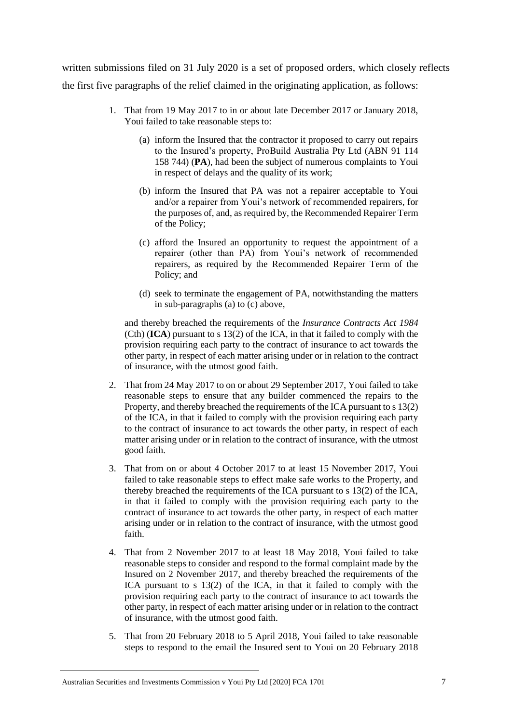written submissions filed on 31 July 2020 is a set of proposed orders, which closely reflects the first five paragraphs of the relief claimed in the originating application, as follows:

- 1. That from 19 May 2017 to in or about late December 2017 or January 2018, Youi failed to take reasonable steps to:
	- (a) inform the Insured that the contractor it proposed to carry out repairs to the Insured's property, ProBuild Australia Pty Ltd (ABN 91 114 158 744) (**PA**), had been the subject of numerous complaints to Youi in respect of delays and the quality of its work;
	- (b) inform the Insured that PA was not a repairer acceptable to Youi and/or a repairer from Youi's network of recommended repairers, for the purposes of, and, as required by, the Recommended Repairer Term of the Policy;
	- (c) afford the Insured an opportunity to request the appointment of a repairer (other than PA) from Youi's network of recommended repairers, as required by the Recommended Repairer Term of the Policy; and
	- (d) seek to terminate the engagement of PA, notwithstanding the matters in sub-paragraphs (a) to (c) above,

and thereby breached the requirements of the *Insurance Contracts Act 1984* (Cth) (**ICA**) pursuant to s 13(2) of the ICA, in that it failed to comply with the provision requiring each party to the contract of insurance to act towards the other party, in respect of each matter arising under or in relation to the contract of insurance, with the utmost good faith.

- 2. That from 24 May 2017 to on or about 29 September 2017, Youi failed to take reasonable steps to ensure that any builder commenced the repairs to the Property, and thereby breached the requirements of the ICA pursuant to s 13(2) of the ICA, in that it failed to comply with the provision requiring each party to the contract of insurance to act towards the other party, in respect of each matter arising under or in relation to the contract of insurance, with the utmost good faith.
- 3. That from on or about 4 October 2017 to at least 15 November 2017, Youi failed to take reasonable steps to effect make safe works to the Property, and thereby breached the requirements of the ICA pursuant to s 13(2) of the ICA, in that it failed to comply with the provision requiring each party to the contract of insurance to act towards the other party, in respect of each matter arising under or in relation to the contract of insurance, with the utmost good faith.
- 4. That from 2 November 2017 to at least 18 May 2018, Youi failed to take reasonable steps to consider and respond to the formal complaint made by the Insured on 2 November 2017, and thereby breached the requirements of the ICA pursuant to s 13(2) of the ICA, in that it failed to comply with the provision requiring each party to the contract of insurance to act towards the other party, in respect of each matter arising under or in relation to the contract of insurance, with the utmost good faith.
- 5. That from 20 February 2018 to 5 April 2018, Youi failed to take reasonable steps to respond to the email the Insured sent to Youi on 20 February 2018

Australian Securities and Investments Commission v Youi Pty Ltd [2020] FCA 1701 7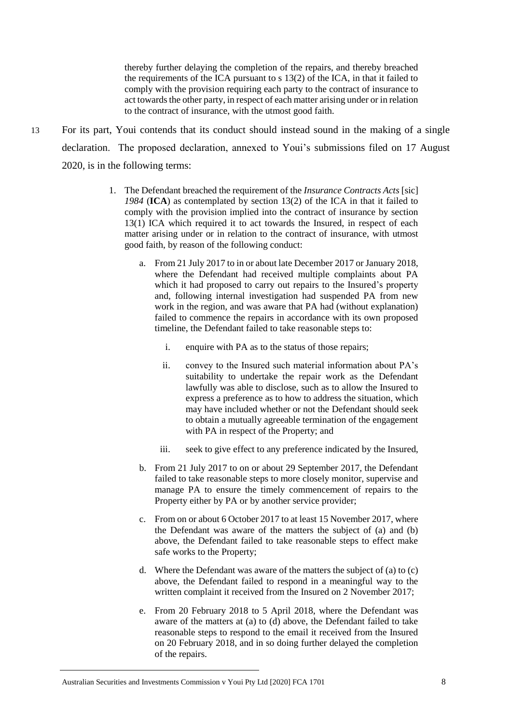thereby further delaying the completion of the repairs, and thereby breached the requirements of the ICA pursuant to s 13(2) of the ICA, in that it failed to comply with the provision requiring each party to the contract of insurance to act towards the other party, in respect of each matter arising under or in relation to the contract of insurance, with the utmost good faith.

- 13 For its part, Youi contends that its conduct should instead sound in the making of a single declaration. The proposed declaration, annexed to Youi's submissions filed on 17 August 2020, is in the following terms:
	- 1. The Defendant breached the requirement of the *Insurance Contracts Acts* [sic] *1984* (**ICA**) as contemplated by section 13(2) of the ICA in that it failed to comply with the provision implied into the contract of insurance by section 13(1) ICA which required it to act towards the Insured, in respect of each matter arising under or in relation to the contract of insurance, with utmost good faith, by reason of the following conduct:
		- a. From 21 July 2017 to in or about late December 2017 or January 2018, where the Defendant had received multiple complaints about PA which it had proposed to carry out repairs to the Insured's property and, following internal investigation had suspended PA from new work in the region, and was aware that PA had (without explanation) failed to commence the repairs in accordance with its own proposed timeline, the Defendant failed to take reasonable steps to:
			- i. enquire with PA as to the status of those repairs;
			- ii. convey to the Insured such material information about PA's suitability to undertake the repair work as the Defendant lawfully was able to disclose, such as to allow the Insured to express a preference as to how to address the situation, which may have included whether or not the Defendant should seek to obtain a mutually agreeable termination of the engagement with PA in respect of the Property; and
			- iii. seek to give effect to any preference indicated by the Insured,
		- b. From 21 July 2017 to on or about 29 September 2017, the Defendant failed to take reasonable steps to more closely monitor, supervise and manage PA to ensure the timely commencement of repairs to the Property either by PA or by another service provider;
		- c. From on or about 6 October 2017 to at least 15 November 2017, where the Defendant was aware of the matters the subject of (a) and (b) above, the Defendant failed to take reasonable steps to effect make safe works to the Property;
		- d. Where the Defendant was aware of the matters the subject of (a) to (c) above, the Defendant failed to respond in a meaningful way to the written complaint it received from the Insured on 2 November 2017;
		- e. From 20 February 2018 to 5 April 2018, where the Defendant was aware of the matters at (a) to  $(d)$  above, the Defendant failed to take reasonable steps to respond to the email it received from the Insured on 20 February 2018, and in so doing further delayed the completion of the repairs.

Australian Securities and Investments Commission v Youi Pty Ltd [2020] FCA 1701 8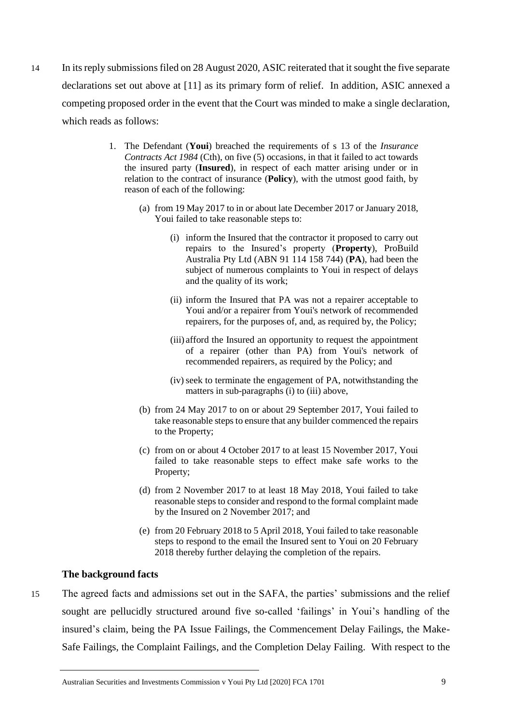- 14 In its reply submissions filed on 28 August 2020, ASIC reiterated that it sought the five separate declarations set out above at [\[11\]](#page-9-0) as its primary form of relief. In addition, ASIC annexed a competing proposed order in the event that the Court was minded to make a single declaration, which reads as follows:
	- 1. The Defendant (**Youi**) breached the requirements of s 13 of the *Insurance Contracts Act 1984* (Cth), on five (5) occasions, in that it failed to act towards the insured party (**Insured**), in respect of each matter arising under or in relation to the contract of insurance (**Policy**), with the utmost good faith, by reason of each of the following:
		- (a) from 19 May 2017 to in or about late December 2017 or January 2018, Youi failed to take reasonable steps to:
			- (i) inform the Insured that the contractor it proposed to carry out repairs to the Insured's property (**Property**), ProBuild Australia Pty Ltd (ABN 91 114 158 744) (**PA**), had been the subject of numerous complaints to Youi in respect of delays and the quality of its work;
			- (ii) inform the Insured that PA was not a repairer acceptable to Youi and/or a repairer from Youi's network of recommended repairers, for the purposes of, and, as required by, the Policy;
			- (iii) afford the Insured an opportunity to request the appointment of a repairer (other than PA) from Youi's network of recommended repairers, as required by the Policy; and
			- (iv)seek to terminate the engagement of PA, notwithstanding the matters in sub-paragraphs (i) to (iii) above,
		- (b) from 24 May 2017 to on or about 29 September 2017, Youi failed to take reasonable steps to ensure that any builder commenced the repairs to the Property;
		- (c) from on or about 4 October 2017 to at least 15 November 2017, Youi failed to take reasonable steps to effect make safe works to the Property;
		- (d) from 2 November 2017 to at least 18 May 2018, Youi failed to take reasonable steps to consider and respond to the formal complaint made by the Insured on 2 November 2017; and
		- (e) from 20 February 2018 to 5 April 2018, Youi failed to take reasonable steps to respond to the email the Insured sent to Youi on 20 February 2018 thereby further delaying the completion of the repairs.

# <span id="page-12-0"></span>**The background facts**

15 The agreed facts and admissions set out in the SAFA, the parties' submissions and the relief sought are pellucidly structured around five so-called 'failings' in Youi's handling of the insured's claim, being the PA Issue Failings, the Commencement Delay Failings, the Make-Safe Failings, the Complaint Failings, and the Completion Delay Failing. With respect to the

Australian Securities and Investments Commission v Youi Pty Ltd [2020] FCA 1701 9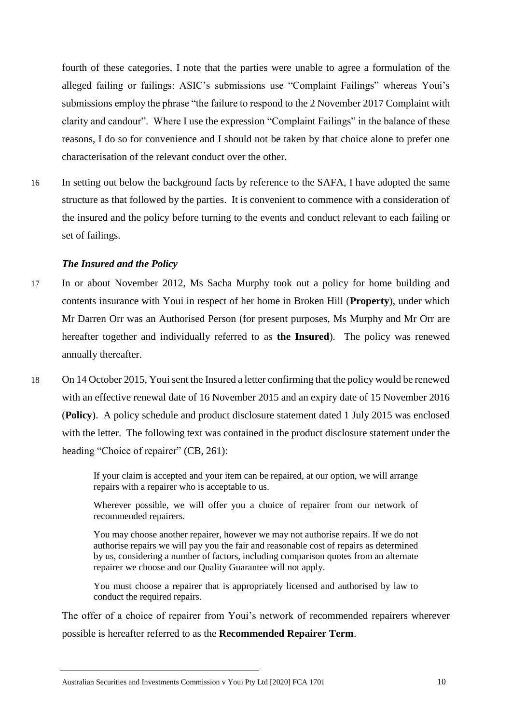fourth of these categories, I note that the parties were unable to agree a formulation of the alleged failing or failings: ASIC's submissions use "Complaint Failings" whereas Youi's submissions employ the phrase "the failure to respond to the 2 November 2017 Complaint with clarity and candour". Where I use the expression "Complaint Failings" in the balance of these reasons, I do so for convenience and I should not be taken by that choice alone to prefer one characterisation of the relevant conduct over the other.

16 In setting out below the background facts by reference to the SAFA, I have adopted the same structure as that followed by the parties. It is convenient to commence with a consideration of the insured and the policy before turning to the events and conduct relevant to each failing or set of failings.

# *The Insured and the Policy*

- 17 In or about November 2012, Ms Sacha Murphy took out a policy for home building and contents insurance with Youi in respect of her home in Broken Hill (**Property**), under which Mr Darren Orr was an Authorised Person (for present purposes, Ms Murphy and Mr Orr are hereafter together and individually referred to as **the Insured**). The policy was renewed annually thereafter.
- 18 On 14 October 2015, Youi sent the Insured a letter confirming that the policy would be renewed with an effective renewal date of 16 November 2015 and an expiry date of 15 November 2016 (**Policy**). A policy schedule and product disclosure statement dated 1 July 2015 was enclosed with the letter. The following text was contained in the product disclosure statement under the heading "Choice of repairer" (CB, 261):

If your claim is accepted and your item can be repaired, at our option, we will arrange repairs with a repairer who is acceptable to us.

Wherever possible, we will offer you a choice of repairer from our network of recommended repairers.

You may choose another repairer, however we may not authorise repairs. If we do not authorise repairs we will pay you the fair and reasonable cost of repairs as determined by us, considering a number of factors, including comparison quotes from an alternate repairer we choose and our Quality Guarantee will not apply.

You must choose a repairer that is appropriately licensed and authorised by law to conduct the required repairs.

The offer of a choice of repairer from Youi's network of recommended repairers wherever possible is hereafter referred to as the **Recommended Repairer Term**.

Australian Securities and Investments Commission v Youi Pty Ltd [2020] FCA 1701 10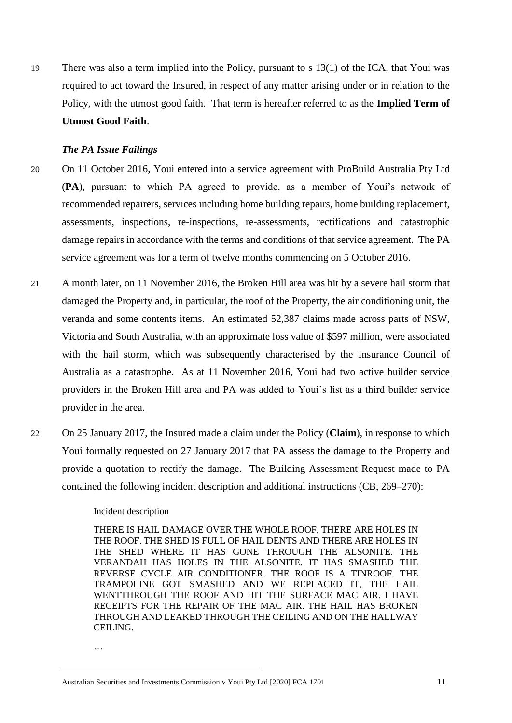19 There was also a term implied into the Policy, pursuant to s 13(1) of the ICA, that Youi was required to act toward the Insured, in respect of any matter arising under or in relation to the Policy, with the utmost good faith. That term is hereafter referred to as the **Implied Term of Utmost Good Faith**.

# *The PA Issue Failings*

- 20 On 11 October 2016, Youi entered into a service agreement with ProBuild Australia Pty Ltd (**PA**), pursuant to which PA agreed to provide, as a member of Youi's network of recommended repairers, services including home building repairs, home building replacement, assessments, inspections, re-inspections, re-assessments, rectifications and catastrophic damage repairs in accordance with the terms and conditions of that service agreement. The PA service agreement was for a term of twelve months commencing on 5 October 2016.
- 21 A month later, on 11 November 2016, the Broken Hill area was hit by a severe hail storm that damaged the Property and, in particular, the roof of the Property, the air conditioning unit, the veranda and some contents items. An estimated 52,387 claims made across parts of NSW, Victoria and South Australia, with an approximate loss value of \$597 million, were associated with the hail storm, which was subsequently characterised by the Insurance Council of Australia as a catastrophe. As at 11 November 2016, Youi had two active builder service providers in the Broken Hill area and PA was added to Youi's list as a third builder service provider in the area.
- 22 On 25 January 2017, the Insured made a claim under the Policy (**Claim**), in response to which Youi formally requested on 27 January 2017 that PA assess the damage to the Property and provide a quotation to rectify the damage. The Building Assessment Request made to PA contained the following incident description and additional instructions (CB, 269–270):

#### Incident description

THERE IS HAIL DAMAGE OVER THE WHOLE ROOF, THERE ARE HOLES IN THE ROOF. THE SHED IS FULL OF HAIL DENTS AND THERE ARE HOLES IN THE SHED WHERE IT HAS GONE THROUGH THE ALSONITE. THE VERANDAH HAS HOLES IN THE ALSONITE. IT HAS SMASHED THE REVERSE CYCLE AIR CONDITIONER. THE ROOF IS A TINROOF. THE TRAMPOLINE GOT SMASHED AND WE REPLACED IT, THE HAIL WENTTHROUGH THE ROOF AND HIT THE SURFACE MAC AIR. I HAVE RECEIPTS FOR THE REPAIR OF THE MAC AIR. THE HAIL HAS BROKEN THROUGH AND LEAKED THROUGH THE CEILING AND ON THE HALLWAY CEILING.

…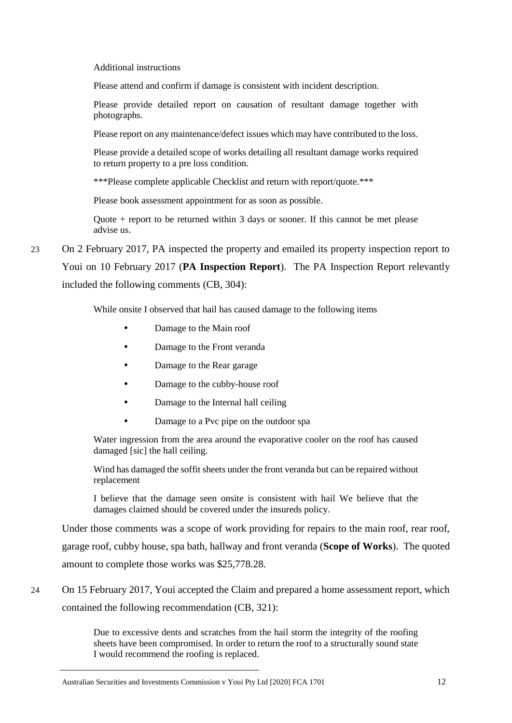Additional instructions

Please attend and confirm if damage is consistent with incident description.

Please provide detailed report on causation of resultant damage together with photographs.

Please report on any maintenance/defect issues which may have contributed to the loss.

Please provide a detailed scope of works detailing all resultant damage works required to return property to a pre loss condition.

\*\*\*Please complete applicable Checklist and return with report/quote.\*\*\*

Please book assessment appointment for as soon as possible.

Quote + report to be returned within 3 days or sooner. If this cannot be met please advise us.

23 On 2 February 2017, PA inspected the property and emailed its property inspection report to Youi on 10 February 2017 (**PA Inspection Report**). The PA Inspection Report relevantly included the following comments (CB, 304):

While onsite I observed that hail has caused damage to the following items

- Damage to the Main roof
- Damage to the Front veranda
- Damage to the Rear garage
- Damage to the cubby-house roof
- Damage to the Internal hall ceiling
- Damage to a Pvc pipe on the outdoor spa

Water ingression from the area around the evaporative cooler on the roof has caused damaged [sic] the hall ceiling.

Wind has damaged the soffit sheets under the front veranda but can be repaired without replacement

I believe that the damage seen onsite is consistent with hail We believe that the damages claimed should be covered under the insureds policy.

Under those comments was a scope of work providing for repairs to the main roof, rear roof, garage roof, cubby house, spa bath, hallway and front veranda (**Scope of Works**). The quoted amount to complete those works was \$25,778.28.

24 On 15 February 2017, Youi accepted the Claim and prepared a home assessment report, which contained the following recommendation (CB, 321):

> Due to excessive dents and scratches from the hail storm the integrity of the roofing sheets have been compromised. In order to return the roof to a structurally sound state I would recommend the roofing is replaced.

Australian Securities and Investments Commission v Youi Pty Ltd [2020] FCA 1701 12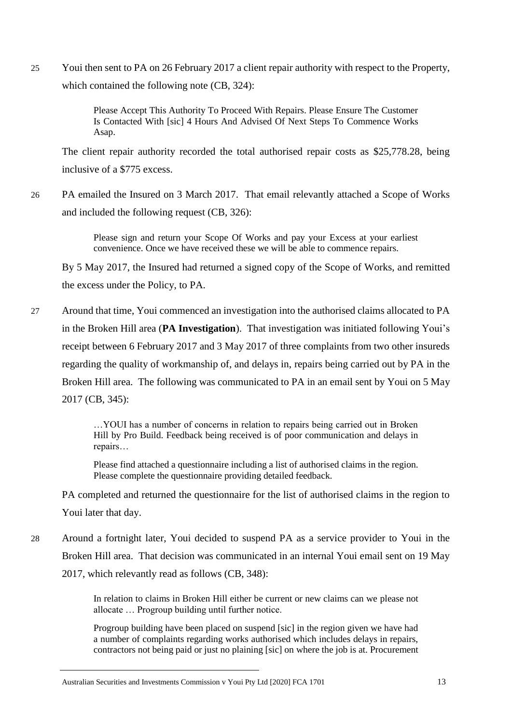25 Youi then sent to PA on 26 February 2017 a client repair authority with respect to the Property, which contained the following note (CB, 324):

> Please Accept This Authority To Proceed With Repairs. Please Ensure The Customer Is Contacted With [sic] 4 Hours And Advised Of Next Steps To Commence Works Asap.

The client repair authority recorded the total authorised repair costs as \$25,778.28, being inclusive of a \$775 excess.

26 PA emailed the Insured on 3 March 2017. That email relevantly attached a Scope of Works and included the following request (CB, 326):

> Please sign and return your Scope Of Works and pay your Excess at your earliest convenience. Once we have received these we will be able to commence repairs.

By 5 May 2017, the Insured had returned a signed copy of the Scope of Works, and remitted the excess under the Policy, to PA.

27 Around that time, Youi commenced an investigation into the authorised claims allocated to PA in the Broken Hill area (**PA Investigation**). That investigation was initiated following Youi's receipt between 6 February 2017 and 3 May 2017 of three complaints from two other insureds regarding the quality of workmanship of, and delays in, repairs being carried out by PA in the Broken Hill area. The following was communicated to PA in an email sent by Youi on 5 May 2017 (CB, 345):

> …YOUI has a number of concerns in relation to repairs being carried out in Broken Hill by Pro Build. Feedback being received is of poor communication and delays in repairs…

> Please find attached a questionnaire including a list of authorised claims in the region. Please complete the questionnaire providing detailed feedback.

PA completed and returned the questionnaire for the list of authorised claims in the region to Youi later that day.

<span id="page-16-0"></span>28 Around a fortnight later, Youi decided to suspend PA as a service provider to Youi in the Broken Hill area. That decision was communicated in an internal Youi email sent on 19 May 2017, which relevantly read as follows (CB, 348):

> In relation to claims in Broken Hill either be current or new claims can we please not allocate … Progroup building until further notice.

> Progroup building have been placed on suspend [sic] in the region given we have had a number of complaints regarding works authorised which includes delays in repairs, contractors not being paid or just no plaining [sic] on where the job is at. Procurement

Australian Securities and Investments Commission v Youi Pty Ltd [2020] FCA 1701 13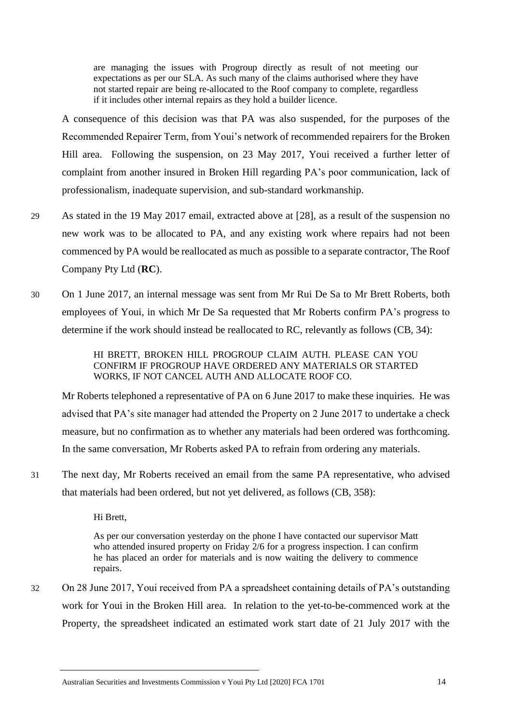are managing the issues with Progroup directly as result of not meeting our expectations as per our SLA. As such many of the claims authorised where they have not started repair are being re-allocated to the Roof company to complete, regardless if it includes other internal repairs as they hold a builder licence.

A consequence of this decision was that PA was also suspended, for the purposes of the Recommended Repairer Term, from Youi's network of recommended repairers for the Broken Hill area. Following the suspension, on 23 May 2017, Youi received a further letter of complaint from another insured in Broken Hill regarding PA's poor communication, lack of professionalism, inadequate supervision, and sub-standard workmanship.

- 29 As stated in the 19 May 2017 email, extracted above at [\[28\]](#page-16-0), as a result of the suspension no new work was to be allocated to PA, and any existing work where repairs had not been commenced by PA would be reallocated as much as possible to a separate contractor, The Roof Company Pty Ltd (**RC**).
- <span id="page-17-0"></span>30 On 1 June 2017, an internal message was sent from Mr Rui De Sa to Mr Brett Roberts, both employees of Youi, in which Mr De Sa requested that Mr Roberts confirm PA's progress to determine if the work should instead be reallocated to RC, relevantly as follows (CB, 34):

HI BRETT, BROKEN HILL PROGROUP CLAIM AUTH. PLEASE CAN YOU CONFIRM IF PROGROUP HAVE ORDERED ANY MATERIALS OR STARTED WORKS, IF NOT CANCEL AUTH AND ALLOCATE ROOF CO.

Mr Roberts telephoned a representative of PA on 6 June 2017 to make these inquiries. He was advised that PA's site manager had attended the Property on 2 June 2017 to undertake a check measure, but no confirmation as to whether any materials had been ordered was forthcoming. In the same conversation, Mr Roberts asked PA to refrain from ordering any materials.

31 The next day, Mr Roberts received an email from the same PA representative, who advised that materials had been ordered, but not yet delivered, as follows (CB, 358):

Hi Brett,

As per our conversation yesterday on the phone I have contacted our supervisor Matt who attended insured property on Friday 2/6 for a progress inspection. I can confirm he has placed an order for materials and is now waiting the delivery to commence repairs.

32 On 28 June 2017, Youi received from PA a spreadsheet containing details of PA's outstanding work for Youi in the Broken Hill area. In relation to the yet-to-be-commenced work at the Property, the spreadsheet indicated an estimated work start date of 21 July 2017 with the

Australian Securities and Investments Commission v Youi Pty Ltd [2020] FCA 1701 14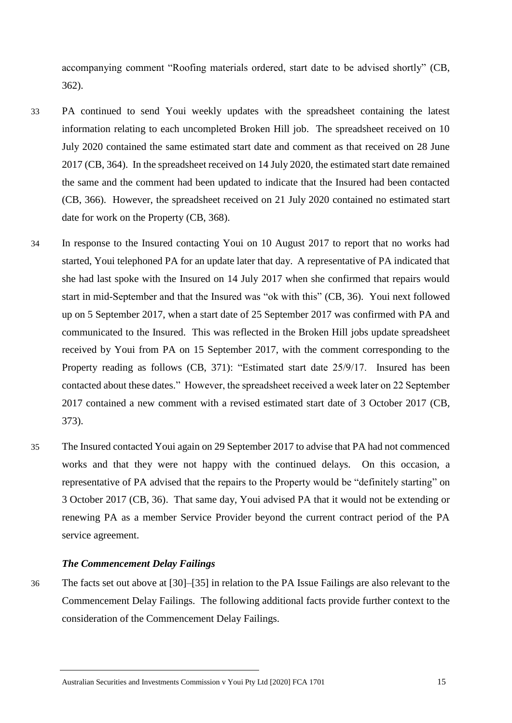accompanying comment "Roofing materials ordered, start date to be advised shortly" (CB, 362).

- 33 PA continued to send Youi weekly updates with the spreadsheet containing the latest information relating to each uncompleted Broken Hill job. The spreadsheet received on 10 July 2020 contained the same estimated start date and comment as that received on 28 June 2017 (CB, 364). In the spreadsheet received on 14 July 2020, the estimated start date remained the same and the comment had been updated to indicate that the Insured had been contacted (CB, 366). However, the spreadsheet received on 21 July 2020 contained no estimated start date for work on the Property (CB, 368).
- 34 In response to the Insured contacting Youi on 10 August 2017 to report that no works had started, Youi telephoned PA for an update later that day. A representative of PA indicated that she had last spoke with the Insured on 14 July 2017 when she confirmed that repairs would start in mid-September and that the Insured was "ok with this" (CB, 36). Youi next followed up on 5 September 2017, when a start date of 25 September 2017 was confirmed with PA and communicated to the Insured. This was reflected in the Broken Hill jobs update spreadsheet received by Youi from PA on 15 September 2017, with the comment corresponding to the Property reading as follows (CB, 371): "Estimated start date 25/9/17. Insured has been contacted about these dates." However, the spreadsheet received a week later on 22 September 2017 contained a new comment with a revised estimated start date of 3 October 2017 (CB, 373).
- <span id="page-18-0"></span>35 The Insured contacted Youi again on 29 September 2017 to advise that PA had not commenced works and that they were not happy with the continued delays. On this occasion, a representative of PA advised that the repairs to the Property would be "definitely starting" on 3 October 2017 (CB, 36). That same day, Youi advised PA that it would not be extending or renewing PA as a member Service Provider beyond the current contract period of the PA service agreement.

#### *The Commencement Delay Failings*

36 The facts set out above at [\[30\]](#page-17-0)–[\[35\]](#page-18-0) in relation to the PA Issue Failings are also relevant to the Commencement Delay Failings. The following additional facts provide further context to the consideration of the Commencement Delay Failings.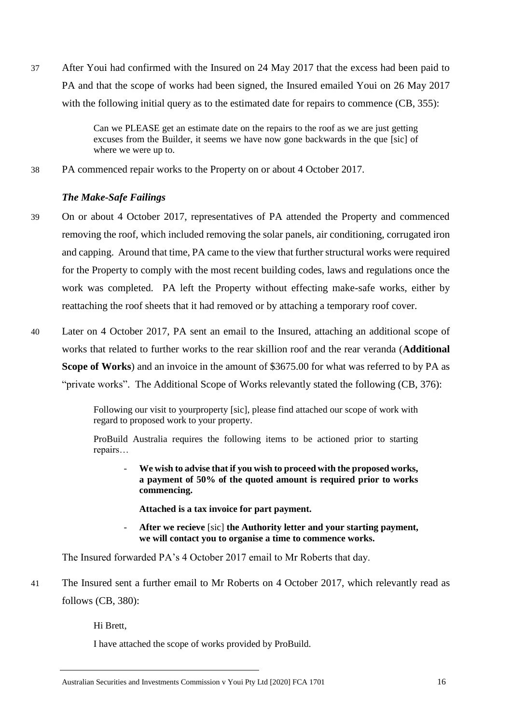37 After Youi had confirmed with the Insured on 24 May 2017 that the excess had been paid to PA and that the scope of works had been signed, the Insured emailed Youi on 26 May 2017 with the following initial query as to the estimated date for repairs to commence (CB, 355):

> Can we PLEASE get an estimate date on the repairs to the roof as we are just getting excuses from the Builder, it seems we have now gone backwards in the que [sic] of where we were up to.

38 PA commenced repair works to the Property on or about 4 October 2017.

# *The Make-Safe Failings*

- 39 On or about 4 October 2017, representatives of PA attended the Property and commenced removing the roof, which included removing the solar panels, air conditioning, corrugated iron and capping. Around that time, PA came to the view that further structural works were required for the Property to comply with the most recent building codes, laws and regulations once the work was completed. PA left the Property without effecting make-safe works, either by reattaching the roof sheets that it had removed or by attaching a temporary roof cover.
- 40 Later on 4 October 2017, PA sent an email to the Insured, attaching an additional scope of works that related to further works to the rear skillion roof and the rear veranda (**Additional Scope of Works**) and an invoice in the amount of \$3675.00 for what was referred to by PA as "private works". The Additional Scope of Works relevantly stated the following (CB, 376):

Following our visit to yourproperty [sic], please find attached our scope of work with regard to proposed work to your property.

ProBuild Australia requires the following items to be actioned prior to starting repairs…

- We wish to advise that if you wish to proceed with the proposed works, **a payment of 50% of the quoted amount is required prior to works commencing.**
	- **Attached is a tax invoice for part payment.**
- **After we recieve** [sic] **the Authority letter and your starting payment, we will contact you to organise a time to commence works.**

The Insured forwarded PA's 4 October 2017 email to Mr Roberts that day.

41 The Insured sent a further email to Mr Roberts on 4 October 2017, which relevantly read as follows (CB, 380):

Hi Brett,

I have attached the scope of works provided by ProBuild.

Australian Securities and Investments Commission v Youi Pty Ltd [2020] FCA 1701 16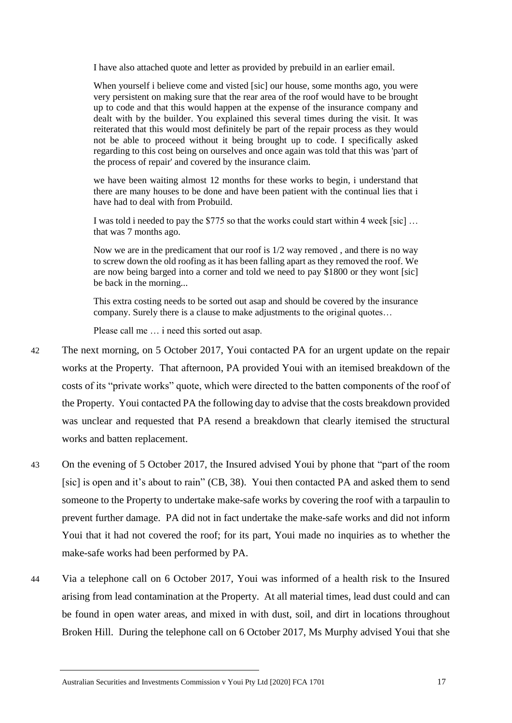I have also attached quote and letter as provided by prebuild in an earlier email.

When yourself i believe come and visted [sic] our house, some months ago, you were very persistent on making sure that the rear area of the roof would have to be brought up to code and that this would happen at the expense of the insurance company and dealt with by the builder. You explained this several times during the visit. It was reiterated that this would most definitely be part of the repair process as they would not be able to proceed without it being brought up to code. I specifically asked regarding to this cost being on ourselves and once again was told that this was 'part of the process of repair' and covered by the insurance claim.

we have been waiting almost 12 months for these works to begin, i understand that there are many houses to be done and have been patient with the continual lies that i have had to deal with from Probuild.

I was told i needed to pay the \$775 so that the works could start within 4 week [sic] … that was 7 months ago.

Now we are in the predicament that our roof is 1/2 way removed , and there is no way to screw down the old roofing as it has been falling apart as they removed the roof. We are now being barged into a corner and told we need to pay \$1800 or they wont [sic] be back in the morning...

This extra costing needs to be sorted out asap and should be covered by the insurance company. Surely there is a clause to make adjustments to the original quotes…

Please call me … i need this sorted out asap.

- 42 The next morning, on 5 October 2017, Youi contacted PA for an urgent update on the repair works at the Property. That afternoon, PA provided Youi with an itemised breakdown of the costs of its "private works" quote, which were directed to the batten components of the roof of the Property. Youi contacted PA the following day to advise that the costs breakdown provided was unclear and requested that PA resend a breakdown that clearly itemised the structural works and batten replacement.
- 43 On the evening of 5 October 2017, the Insured advised Youi by phone that "part of the room [sic] is open and it's about to rain" (CB, 38). Youi then contacted PA and asked them to send someone to the Property to undertake make-safe works by covering the roof with a tarpaulin to prevent further damage. PA did not in fact undertake the make-safe works and did not inform Youi that it had not covered the roof; for its part, Youi made no inquiries as to whether the make-safe works had been performed by PA.
- 44 Via a telephone call on 6 October 2017, Youi was informed of a health risk to the Insured arising from lead contamination at the Property. At all material times, lead dust could and can be found in open water areas, and mixed in with dust, soil, and dirt in locations throughout Broken Hill. During the telephone call on 6 October 2017, Ms Murphy advised Youi that she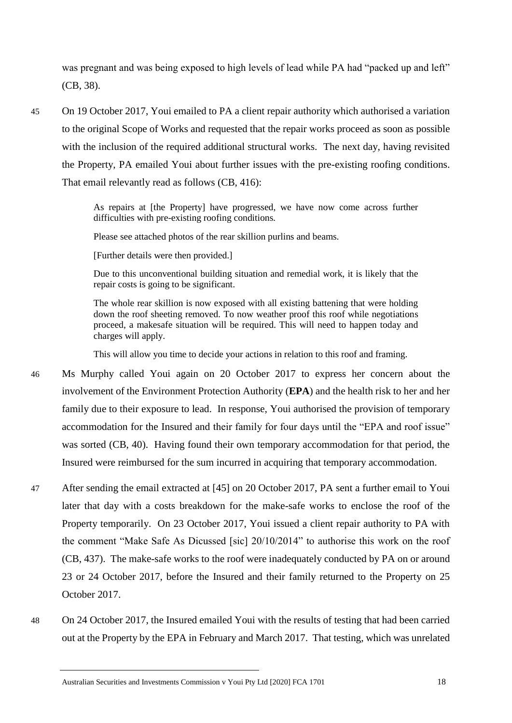was pregnant and was being exposed to high levels of lead while PA had "packed up and left" (CB, 38).

<span id="page-21-0"></span>45 On 19 October 2017, Youi emailed to PA a client repair authority which authorised a variation to the original Scope of Works and requested that the repair works proceed as soon as possible with the inclusion of the required additional structural works. The next day, having revisited the Property, PA emailed Youi about further issues with the pre-existing roofing conditions. That email relevantly read as follows (CB, 416):

> As repairs at [the Property] have progressed, we have now come across further difficulties with pre-existing roofing conditions.

Please see attached photos of the rear skillion purlins and beams.

[Further details were then provided.]

Due to this unconventional building situation and remedial work, it is likely that the repair costs is going to be significant.

The whole rear skillion is now exposed with all existing battening that were holding down the roof sheeting removed. To now weather proof this roof while negotiations proceed, a makesafe situation will be required. This will need to happen today and charges will apply.

This will allow you time to decide your actions in relation to this roof and framing.

- 46 Ms Murphy called Youi again on 20 October 2017 to express her concern about the involvement of the Environment Protection Authority (**EPA**) and the health risk to her and her family due to their exposure to lead. In response, Youi authorised the provision of temporary accommodation for the Insured and their family for four days until the "EPA and roof issue" was sorted (CB, 40). Having found their own temporary accommodation for that period, the Insured were reimbursed for the sum incurred in acquiring that temporary accommodation.
- 47 After sending the email extracted at [\[45\]](#page-21-0) on 20 October 2017, PA sent a further email to Youi later that day with a costs breakdown for the make-safe works to enclose the roof of the Property temporarily. On 23 October 2017, Youi issued a client repair authority to PA with the comment "Make Safe As Dicussed [sic] 20/10/2014" to authorise this work on the roof (CB, 437). The make-safe works to the roof were inadequately conducted by PA on or around 23 or 24 October 2017, before the Insured and their family returned to the Property on 25 October 2017.
- 48 On 24 October 2017, the Insured emailed Youi with the results of testing that had been carried out at the Property by the EPA in February and March 2017. That testing, which was unrelated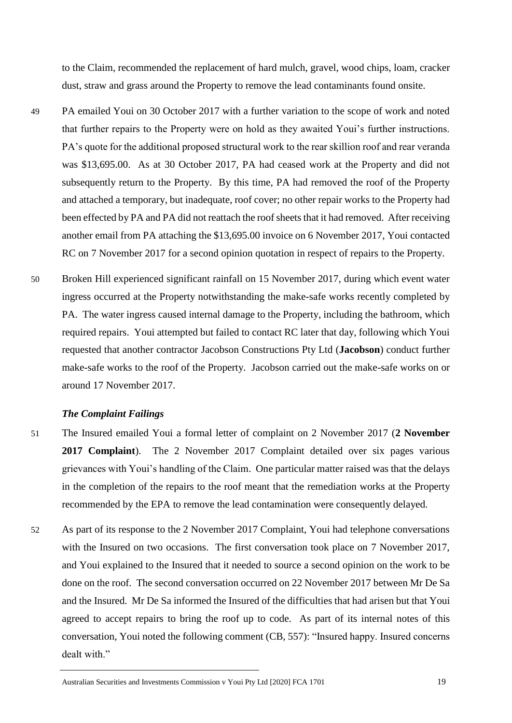to the Claim, recommended the replacement of hard mulch, gravel, wood chips, loam, cracker dust, straw and grass around the Property to remove the lead contaminants found onsite.

- 49 PA emailed Youi on 30 October 2017 with a further variation to the scope of work and noted that further repairs to the Property were on hold as they awaited Youi's further instructions. PA's quote for the additional proposed structural work to the rear skillion roof and rear veranda was \$13,695.00. As at 30 October 2017, PA had ceased work at the Property and did not subsequently return to the Property. By this time, PA had removed the roof of the Property and attached a temporary, but inadequate, roof cover; no other repair works to the Property had been effected by PA and PA did not reattach the roof sheets that it had removed. After receiving another email from PA attaching the \$13,695.00 invoice on 6 November 2017, Youi contacted RC on 7 November 2017 for a second opinion quotation in respect of repairs to the Property.
- <span id="page-22-0"></span>50 Broken Hill experienced significant rainfall on 15 November 2017, during which event water ingress occurred at the Property notwithstanding the make-safe works recently completed by PA. The water ingress caused internal damage to the Property, including the bathroom, which required repairs. Youi attempted but failed to contact RC later that day, following which Youi requested that another contractor Jacobson Constructions Pty Ltd (**Jacobson**) conduct further make-safe works to the roof of the Property. Jacobson carried out the make-safe works on or around 17 November 2017.

#### *The Complaint Failings*

- 51 The Insured emailed Youi a formal letter of complaint on 2 November 2017 (**2 November 2017 Complaint**). The 2 November 2017 Complaint detailed over six pages various grievances with Youi's handling of the Claim. One particular matter raised was that the delays in the completion of the repairs to the roof meant that the remediation works at the Property recommended by the EPA to remove the lead contamination were consequently delayed.
- 52 As part of its response to the 2 November 2017 Complaint, Youi had telephone conversations with the Insured on two occasions. The first conversation took place on 7 November 2017, and Youi explained to the Insured that it needed to source a second opinion on the work to be done on the roof. The second conversation occurred on 22 November 2017 between Mr De Sa and the Insured. Mr De Sa informed the Insured of the difficulties that had arisen but that Youi agreed to accept repairs to bring the roof up to code. As part of its internal notes of this conversation, Youi noted the following comment (CB, 557): "Insured happy. Insured concerns dealt with."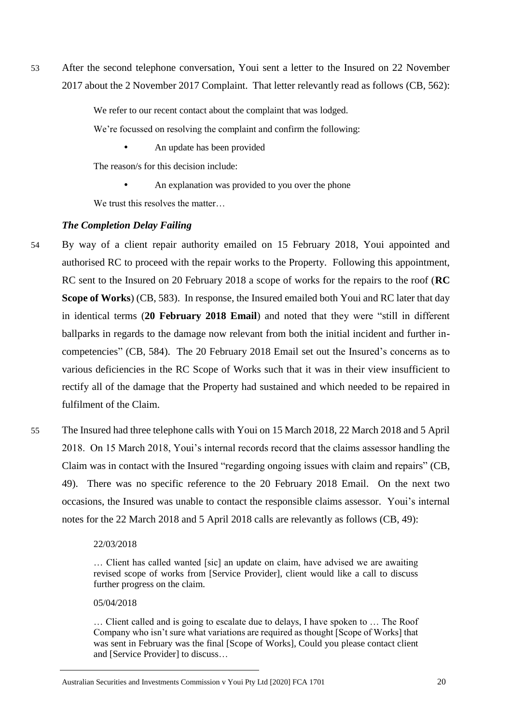53 After the second telephone conversation, Youi sent a letter to the Insured on 22 November 2017 about the 2 November 2017 Complaint. That letter relevantly read as follows (CB, 562):

We refer to our recent contact about the complaint that was lodged.

We're focussed on resolving the complaint and confirm the following:

An update has been provided

The reason/s for this decision include:

An explanation was provided to you over the phone

We trust this resolves the matter…

#### *The Completion Delay Failing*

- 54 By way of a client repair authority emailed on 15 February 2018, Youi appointed and authorised RC to proceed with the repair works to the Property. Following this appointment, RC sent to the Insured on 20 February 2018 a scope of works for the repairs to the roof (**RC Scope of Works**) (CB, 583). In response, the Insured emailed both Youi and RC later that day in identical terms (**20 February 2018 Email**) and noted that they were "still in different ballparks in regards to the damage now relevant from both the initial incident and further incompetencies" (CB, 584). The 20 February 2018 Email set out the Insured's concerns as to various deficiencies in the RC Scope of Works such that it was in their view insufficient to rectify all of the damage that the Property had sustained and which needed to be repaired in fulfilment of the Claim.
- 55 The Insured had three telephone calls with Youi on 15 March 2018, 22 March 2018 and 5 April 2018. On 15 March 2018, Youi's internal records record that the claims assessor handling the Claim was in contact with the Insured "regarding ongoing issues with claim and repairs" (CB, 49). There was no specific reference to the 20 February 2018 Email. On the next two occasions, the Insured was unable to contact the responsible claims assessor. Youi's internal notes for the 22 March 2018 and 5 April 2018 calls are relevantly as follows (CB, 49):

#### 22/03/2018

… Client has called wanted [sic] an update on claim, have advised we are awaiting revised scope of works from [Service Provider], client would like a call to discuss further progress on the claim.

#### 05/04/2018

… Client called and is going to escalate due to delays, I have spoken to … The Roof Company who isn't sure what variations are required as thought [Scope of Works] that was sent in February was the final [Scope of Works], Could you please contact client and [Service Provider] to discuss…

Australian Securities and Investments Commission v Youi Pty Ltd [2020] FCA 1701 20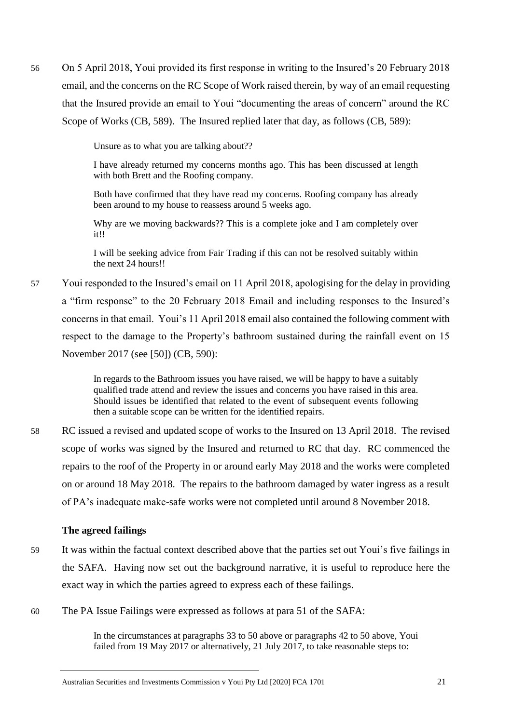56 On 5 April 2018, Youi provided its first response in writing to the Insured's 20 February 2018 email, and the concerns on the RC Scope of Work raised therein, by way of an email requesting that the Insured provide an email to Youi "documenting the areas of concern" around the RC Scope of Works (CB, 589). The Insured replied later that day, as follows (CB, 589):

Unsure as to what you are talking about??

I have already returned my concerns months ago. This has been discussed at length with both Brett and the Roofing company.

Both have confirmed that they have read my concerns. Roofing company has already been around to my house to reassess around 5 weeks ago.

Why are we moving backwards?? This is a complete joke and I am completely over it!!

I will be seeking advice from Fair Trading if this can not be resolved suitably within the next 24 hours!!

57 Youi responded to the Insured's email on 11 April 2018, apologising for the delay in providing a "firm response" to the 20 February 2018 Email and including responses to the Insured's concerns in that email. Youi's 11 April 2018 email also contained the following comment with respect to the damage to the Property's bathroom sustained during the rainfall event on 15 November 2017 (see [\[50\]](#page-22-0)) (CB, 590):

> In regards to the Bathroom issues you have raised, we will be happy to have a suitably qualified trade attend and review the issues and concerns you have raised in this area. Should issues be identified that related to the event of subsequent events following then a suitable scope can be written for the identified repairs.

58 RC issued a revised and updated scope of works to the Insured on 13 April 2018. The revised scope of works was signed by the Insured and returned to RC that day. RC commenced the repairs to the roof of the Property in or around early May 2018 and the works were completed on or around 18 May 2018. The repairs to the bathroom damaged by water ingress as a result of PA's inadequate make-safe works were not completed until around 8 November 2018.

# **The agreed failings**

- 59 It was within the factual context described above that the parties set out Youi's five failings in the SAFA. Having now set out the background narrative, it is useful to reproduce here the exact way in which the parties agreed to express each of these failings.
- 60 The PA Issue Failings were expressed as follows at para 51 of the SAFA:

In the circumstances at paragraphs 33 to 50 above or paragraphs 42 to 50 above, Youi failed from 19 May 2017 or alternatively, 21 July 2017, to take reasonable steps to:

Australian Securities and Investments Commission v Youi Pty Ltd [2020] FCA 1701 21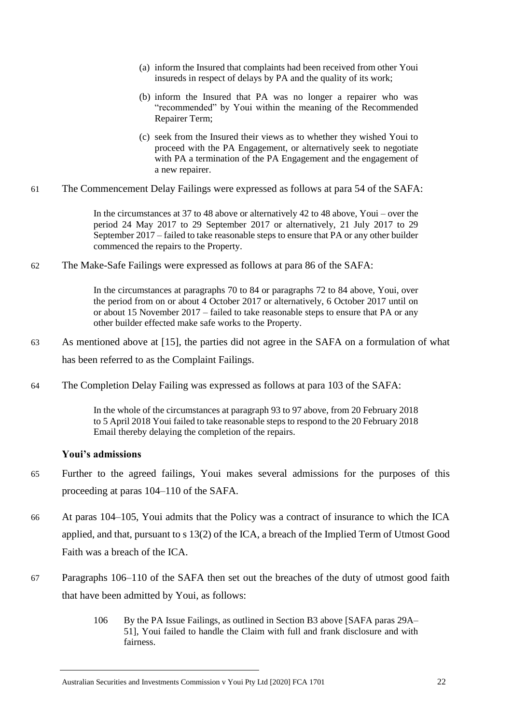- (a) inform the Insured that complaints had been received from other Youi insureds in respect of delays by PA and the quality of its work;
- (b) inform the Insured that PA was no longer a repairer who was "recommended" by Youi within the meaning of the Recommended Repairer Term;
- (c) seek from the Insured their views as to whether they wished Youi to proceed with the PA Engagement, or alternatively seek to negotiate with PA a termination of the PA Engagement and the engagement of a new repairer.
- 61 The Commencement Delay Failings were expressed as follows at para 54 of the SAFA:

In the circumstances at 37 to 48 above or alternatively 42 to 48 above, Youi – over the period 24 May 2017 to 29 September 2017 or alternatively, 21 July 2017 to 29 September 2017 – failed to take reasonable steps to ensure that PA or any other builder commenced the repairs to the Property.

62 The Make-Safe Failings were expressed as follows at para 86 of the SAFA:

In the circumstances at paragraphs 70 to 84 or paragraphs 72 to 84 above, Youi, over the period from on or about 4 October 2017 or alternatively, 6 October 2017 until on or about 15 November 2017 – failed to take reasonable steps to ensure that PA or any other builder effected make safe works to the Property.

- 63 As mentioned above at [\[15\]](#page-12-0), the parties did not agree in the SAFA on a formulation of what has been referred to as the Complaint Failings.
- 64 The Completion Delay Failing was expressed as follows at para 103 of the SAFA:

In the whole of the circumstances at paragraph 93 to 97 above, from 20 February 2018 to 5 April 2018 Youi failed to take reasonable steps to respond to the 20 February 2018 Email thereby delaying the completion of the repairs.

# **Youi's admissions**

- 65 Further to the agreed failings, Youi makes several admissions for the purposes of this proceeding at paras 104–110 of the SAFA.
- 66 At paras 104–105, Youi admits that the Policy was a contract of insurance to which the ICA applied, and that, pursuant to s 13(2) of the ICA, a breach of the Implied Term of Utmost Good Faith was a breach of the ICA.
- 67 Paragraphs 106–110 of the SAFA then set out the breaches of the duty of utmost good faith that have been admitted by Youi, as follows:
	- 106 By the PA Issue Failings, as outlined in Section B3 above [SAFA paras 29A– 51], Youi failed to handle the Claim with full and frank disclosure and with fairness.

Australian Securities and Investments Commission v Youi Pty Ltd [2020] FCA 1701 22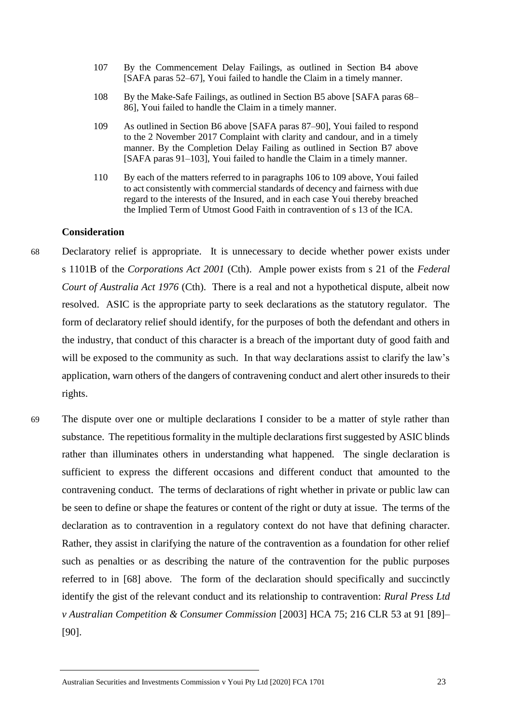- 107 By the Commencement Delay Failings, as outlined in Section B4 above [SAFA paras 52–67], Youi failed to handle the Claim in a timely manner.
- 108 By the Make-Safe Failings, as outlined in Section B5 above [SAFA paras 68– 86], Youi failed to handle the Claim in a timely manner.
- 109 As outlined in Section B6 above [SAFA paras 87–90], Youi failed to respond to the 2 November 2017 Complaint with clarity and candour, and in a timely manner. By the Completion Delay Failing as outlined in Section B7 above [SAFA paras 91–103], Youi failed to handle the Claim in a timely manner.
- 110 By each of the matters referred to in paragraphs 106 to 109 above, Youi failed to act consistently with commercial standards of decency and fairness with due regard to the interests of the Insured, and in each case Youi thereby breached the Implied Term of Utmost Good Faith in contravention of s 13 of the ICA.

#### <span id="page-26-0"></span>**Consideration**

- 68 Declaratory relief is appropriate. It is unnecessary to decide whether power exists under s 1101B of the *Corporations Act 2001* (Cth). Ample power exists from s 21 of the *Federal Court of Australia Act 1976* (Cth). There is a real and not a hypothetical dispute, albeit now resolved. ASIC is the appropriate party to seek declarations as the statutory regulator. The form of declaratory relief should identify, for the purposes of both the defendant and others in the industry, that conduct of this character is a breach of the important duty of good faith and will be exposed to the community as such. In that way declarations assist to clarify the law's application, warn others of the dangers of contravening conduct and alert other insureds to their rights.
- 69 The dispute over one or multiple declarations I consider to be a matter of style rather than substance. The repetitious formality in the multiple declarations first suggested by ASIC blinds rather than illuminates others in understanding what happened. The single declaration is sufficient to express the different occasions and different conduct that amounted to the contravening conduct. The terms of declarations of right whether in private or public law can be seen to define or shape the features or content of the right or duty at issue. The terms of the declaration as to contravention in a regulatory context do not have that defining character. Rather, they assist in clarifying the nature of the contravention as a foundation for other relief such as penalties or as describing the nature of the contravention for the public purposes referred to in [\[68\]](#page-26-0) above. The form of the declaration should specifically and succinctly identify the gist of the relevant conduct and its relationship to contravention: *Rural Press Ltd v Australian Competition & Consumer Commission* [2003] HCA 75; 216 CLR 53 at 91 [89]– [90].

Australian Securities and Investments Commission v Youi Pty Ltd [2020] FCA 1701 23